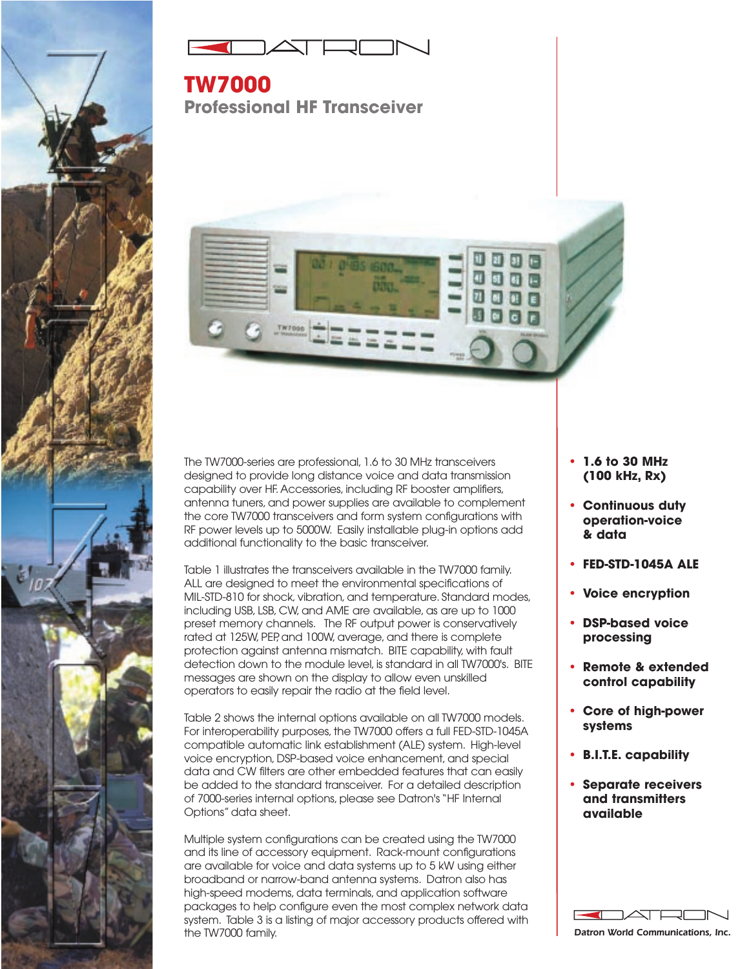



**TW7000 Professional HF Transceiver**



The TW7000-series are professional, 1.6 to 30 MHz transceivers designed to provide long distance voice and data transmission capability over HF. Accessories, including RF booster amplifiers, antenna tuners, and power supplies are available to complement the core TW7000 transceivers and form system configurations with RF power levels up to 5000W. Easily installable plug-in options add additional functionality to the basic transceiver.

Table 1 illustrates the transceivers available in the TW7000 family. ALL are designed to meet the environmental specifications of MIL-STD-810 for shock, vibration, and temperature. Standard modes, including USB, LSB, CW, and AME are available, as are up to 1000 preset memory channels. The RF output power is conservatively rated at 125W, PEP, and 100W, average, and there is complete protection against antenna mismatch. BITE capability, with fault detection down to the module level, is standard in all TW7000's. BITE messages are shown on the display to allow even unskilled operators to easily repair the radio at the field level.

Table 2 shows the internal options available on all TW7000 models. For interoperability purposes, the TW7000 offers a full FED-STD-1045A compatible automatic link establishment (ALE) system. High-level voice encryption, DSP-based voice enhancement, and special data and CW filters are other embedded features that can easily be added to the standard transceiver. For a detailed description of 7000-series internal options, please see Datron's "HF Internal Options" data sheet.

Multiple system configurations can be created using the TW7000 and its line of accessory equipment. Rack-mount configurations are available for voice and data systems up to 5 kW using either broadband or narrow-band antenna systems. Datron also has high-speed modems, data terminals, and application software packages to help configure even the most complex network data system. Table 3 is a listing of major accessory products offered with the TW7000 family.

- **• 1.6 to 30 MHz (100 kHz, Rx)**
- **• Continuous duty operation-voice & data**
- **• FED-STD-1045A ALE**
- **• Voice encryption**
- **• DSP-based voice processing**
- **• Remote & extended control capability**
- **• Core of high-power systems**
- **• B.I.T.E. capability**
- **• Separate receivers and transmitters available**

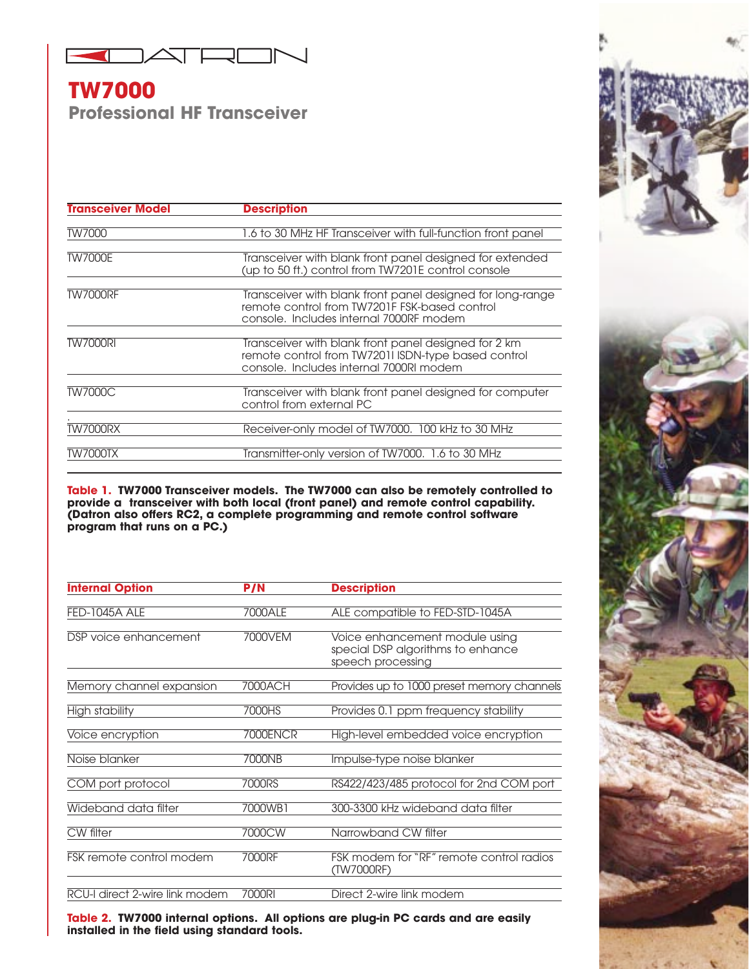

## **TW7000 Professional HF Transceiver**

| <b>Transceiver Model</b> | <b>Description</b>                                                                                                                                     |
|--------------------------|--------------------------------------------------------------------------------------------------------------------------------------------------------|
| TW7000                   | 1.6 to 30 MHz HF Transceiver with full-function front panel                                                                                            |
| <b>TW7000E</b>           | Transceiver with blank front panel designed for extended<br>(up to 50 ft.) control from TW7201E control console                                        |
| <b>TW7000RF</b>          | Transceiver with blank front panel designed for long-range<br>remote control from TW7201F FSK-based control<br>console. Includes internal 7000RF modem |
| <b>TW7000RI</b>          | Transceiver with blank front panel designed for 2 km<br>remote control from TW72011 ISDN-type based control<br>console. Includes internal 7000RI modem |
| <b>TW7000C</b>           | Transceiver with blank front panel designed for computer<br>control from external PC                                                                   |
| <b>TW7000RX</b>          | Receiver-only model of TW7000. 100 kHz to 30 MHz                                                                                                       |
| TW7000TX                 | Transmitter-only version of TW7000. 1.6 to 30 MHz                                                                                                      |

**Table 1. TW7000 Transceiver models. The TW7000 can also be remotely controlled to provide a transceiver with both local (front panel) and remote control capability. (Datron also offers RC2, a complete programming and remote control software program that runs on a PC.)**

| <b>Internal Option</b>          | P/N      | <b>Description</b>                                                                       |
|---------------------------------|----------|------------------------------------------------------------------------------------------|
| <b>FED-1045A ALE</b>            | 7000ALE  | ALE compatible to FED-STD-1045A                                                          |
| DSP voice enhancement           | 7000VEM  | Voice enhancement module using<br>special DSP algorithms to enhance<br>speech processing |
| Memory channel expansion        | 7000ACH  | Provides up to 1000 preset memory channels                                               |
| High stability                  | 7000HS   | Provides 0.1 ppm frequency stability                                                     |
| Voice encryption                | 7000ENCR | High-level embedded voice encryption                                                     |
| Noise blanker                   | 7000NB   | Impulse-type noise blanker                                                               |
| COM port protocol               | 7000RS   | RS422/423/485 protocol for 2nd COM port                                                  |
| Wideband data filter            | 7000WB1  | 300-3300 kHz wideband data filter                                                        |
| CW filter                       | 7000CW   | Narrowband CW filter                                                                     |
| <b>FSK remote control modem</b> | 7000RF   | FSK modem for "RF" remote control radios<br>(TW7000RF)                                   |
| RCU-I direct 2-wire link modem  | 7000RI   | Direct 2-wire link modem                                                                 |

**Table 2. TW7000 internal options. All options are plug-in PC cards and are easily installed in the field using standard tools.**

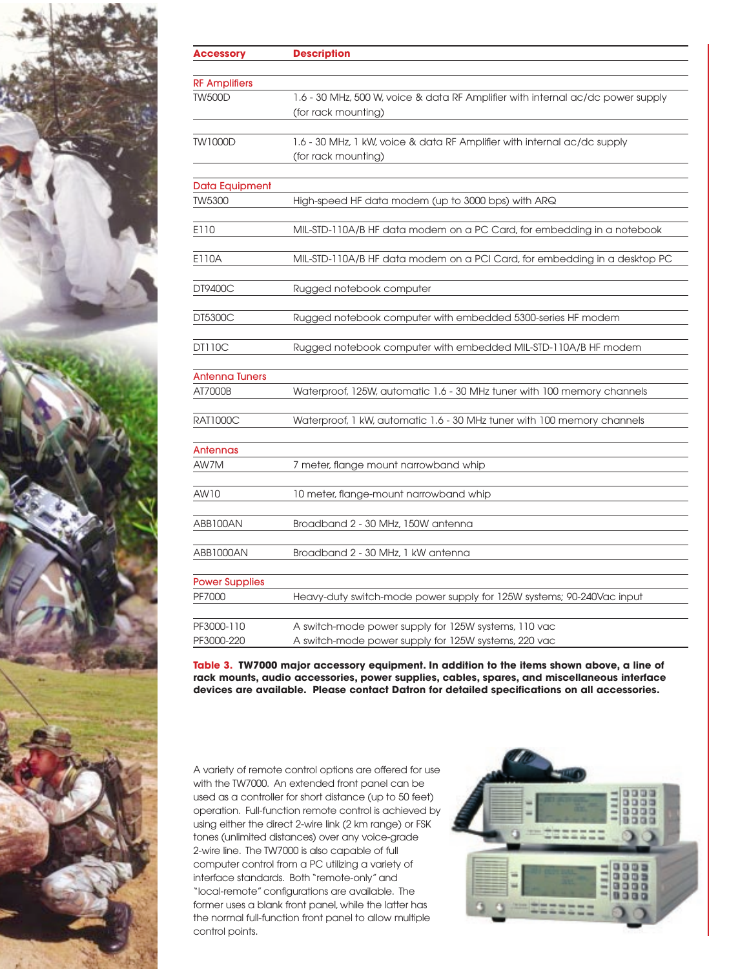

| <b>Accessory</b>      | <b>Description</b>                                                                                     |
|-----------------------|--------------------------------------------------------------------------------------------------------|
| <b>RF Amplifiers</b>  |                                                                                                        |
| <b>TW500D</b>         | 1.6 - 30 MHz, 500 W, voice & data RF Amplifier with internal ac/dc power supply<br>(for rack mounting) |
|                       |                                                                                                        |
| <b>TW1000D</b>        | 1.6 - 30 MHz, 1 kW, voice & data RF Amplifier with internal ac/dc supply<br>(for rack mounting)        |
| <b>Data Equipment</b> |                                                                                                        |
| TW5300                | High-speed HF data modem (up to 3000 bps) with ARQ                                                     |
| E110                  | MIL-STD-110A/B HF data modem on a PC Card, for embedding in a notebook                                 |
| E110A                 | MIL-STD-110A/B HF data modem on a PCI Card, for embedding in a desktop PC                              |
| DT9400C               | Rugged notebook computer                                                                               |
| DT5300C               | Rugged notebook computer with embedded 5300-series HF modem                                            |
| <b>DT110C</b>         | Rugged notebook computer with embedded MIL-STD-110A/B HF modem                                         |
| <b>Antenna Tuners</b> |                                                                                                        |
| AT7000B               | Waterproof, 125W, automatic 1.6 - 30 MHz tuner with 100 memory channels                                |
| <b>RAT1000C</b>       | Waterproof, 1 kW, automatic 1.6 - 30 MHz tuner with 100 memory channels                                |
| Antennas              |                                                                                                        |
| AW7M                  | 7 meter, flange mount narrowband whip                                                                  |
| AW10                  | 10 meter, flange-mount narrowband whip                                                                 |
| ABB100AN              | Broadband 2 - 30 MHz, 150W antenna                                                                     |
| ABB1000AN             | Broadband 2 - 30 MHz, 1 kW antenna                                                                     |
| <b>Power Supplies</b> |                                                                                                        |
| PF7000                | Heavy-duty switch-mode power supply for 125W systems; 90-240Vac input                                  |
| PF3000-110            | A switch-mode power supply for 125W systems, 110 vac                                                   |
| PF3000-220            | A switch-mode power supply for 125W systems, 220 vac                                                   |

**Table 3. TW7000 major accessory equipment. In addition to the items shown above, a line of rack mounts, audio accessories, power supplies, cables, spares, and miscellaneous interface devices are available. Please contact Datron for detailed specifications on all accessories.**

A variety of remote control options are offered for use with the TW7000. An extended front panel can be used as a controller for short distance (up to 50 feet) operation. Full-function remote control is achieved by using either the direct 2-wire link (2 km range) or FSK tones (unlimited distances) over any voice-grade 2-wire line. The TW7000 is also capable of full computer control from a PC utilizing a variety of interface standards. Both "remote-only" and "local-remote" configurations are available. The former uses a blank front panel, while the latter has the normal full-function front panel to allow multiple control points.